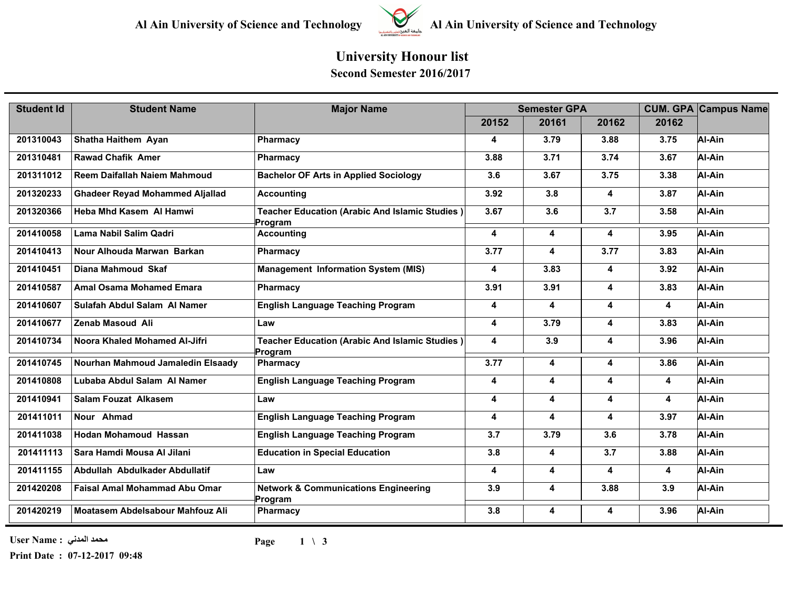

## **Al Ain University of Science and Technology Al Ain University of Science and Technology**

## **University Honour list Second Semester 2016/2017**

| <b>Student Id</b> | <b>Student Name</b>                    | <b>Major Name</b>                                                | <b>Semester GPA</b>     |       |       |       | <b>CUM. GPA Campus Name</b> |
|-------------------|----------------------------------------|------------------------------------------------------------------|-------------------------|-------|-------|-------|-----------------------------|
|                   |                                        |                                                                  | 20152                   | 20161 | 20162 | 20162 |                             |
| 201310043         | Shatha Haithem Ayan                    | Pharmacy                                                         | 4                       | 3.79  | 3.88  | 3.75  | Al-Ain                      |
| 201310481         | <b>Rawad Chafik Amer</b>               | Pharmacy                                                         | 3.88                    | 3.71  | 3.74  | 3.67  | Al-Ain                      |
| 201311012         | Reem Daifallah Naiem Mahmoud           | <b>Bachelor OF Arts in Applied Sociology</b>                     | 3.6                     | 3.67  | 3.75  | 3.38  | Al-Ain                      |
| 201320233         | <b>Ghadeer Reyad Mohammed Aljallad</b> | <b>Accounting</b>                                                | 3.92                    | 3.8   | 4     | 3.87  | Al-Ain                      |
| 201320366         | Heba Mhd Kasem Al Hamwi                | <b>Teacher Education (Arabic And Islamic Studies)</b><br>Program | 3.67                    | 3.6   | 3.7   | 3.58  | Al-Ain                      |
| 201410058         | Lama Nabil Salim Qadri                 | <b>Accounting</b>                                                | 4                       | 4     | 4     | 3.95  | Al-Ain                      |
| 201410413         | Nour Alhouda Marwan Barkan             | Pharmacy                                                         | 3.77                    | 4     | 3.77  | 3.83  | Al-Ain                      |
| 201410451         | Diana Mahmoud Skaf                     | <b>Management Information System (MIS)</b>                       | $\overline{\mathbf{4}}$ | 3.83  | 4     | 3.92  | Al-Ain                      |
| 201410587         | <b>Amal Osama Mohamed Emara</b>        | <b>Pharmacy</b>                                                  | 3.91                    | 3.91  | 4     | 3.83  | Al-Ain                      |
| 201410607         | Sulafah Abdul Salam Al Namer           | <b>English Language Teaching Program</b>                         | 4                       | 4     | 4     | 4     | Al-Ain                      |
| 201410677         | Zenab Masoud Ali                       | Law                                                              | 4                       | 3.79  | 4     | 3.83  | Al-Ain                      |
| 201410734         | Noora Khaled Mohamed Al-Jifri          | Teacher Education (Arabic And Islamic Studies)<br>Program        | $\overline{\mathbf{4}}$ | 3.9   | 4     | 3.96  | Al-Ain                      |
| 201410745         | Nourhan Mahmoud Jamaledin Elsaady      | <b>Pharmacy</b>                                                  | 3.77                    | 4     | 4     | 3.86  | Al-Ain                      |
| 201410808         | Lubaba Abdul Salam Al Namer            | <b>English Language Teaching Program</b>                         | $\overline{\mathbf{4}}$ | 4     | 4     | 4     | Al-Ain                      |
| 201410941         | <b>Salam Fouzat Alkasem</b>            | Law                                                              | 4                       | 4     | 4     | 4     | Al-Ain                      |
| 201411011         | Nour Ahmad                             | <b>English Language Teaching Program</b>                         | $\overline{\mathbf{4}}$ | 4     | 4     | 3.97  | Al-Ain                      |
| 201411038         | <b>Hodan Mohamoud Hassan</b>           | <b>English Language Teaching Program</b>                         | 3.7                     | 3.79  | 3.6   | 3.78  | Al-Ain                      |
| 201411113         | Sara Hamdi Mousa Al Jilani             | <b>Education in Special Education</b>                            | 3.8                     | 4     | 3.7   | 3.88  | Al-Ain                      |
| 201411155         | Abdullah Abdulkader Abdullatif         | Law                                                              | $\overline{\mathbf{4}}$ | 4     | 4     | 4     | Al-Ain                      |
| 201420208         | <b>Faisal Amal Mohammad Abu Omar</b>   | <b>Network &amp; Communications Engineering</b><br>Program       | 3.9                     | 4     | 3.88  | 3.9   | Al-Ain                      |
| 201420219         | Moatasem Abdelsabour Mahfouz Ali       | Pharmacy                                                         | 3.8                     | 4     | 4     | 3.96  | Al-Ain                      |

**محمد المدني : Name User**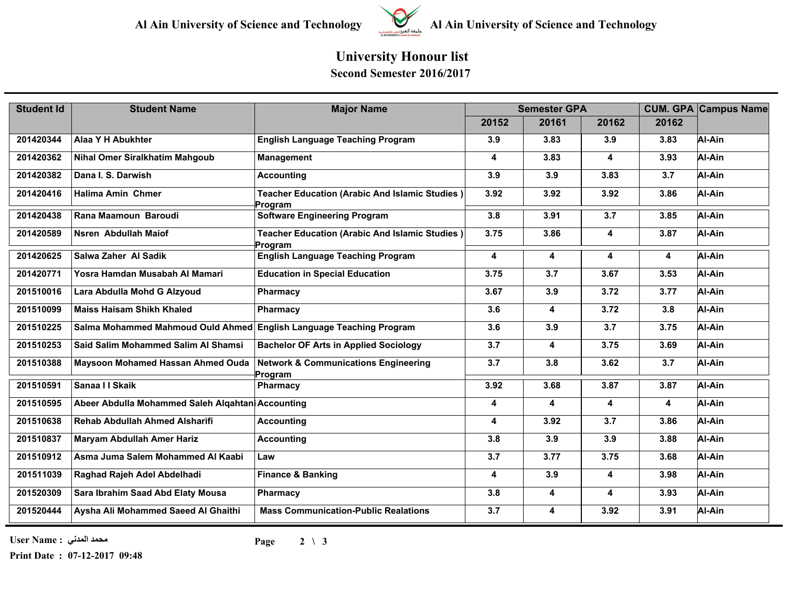

**Al Ain University of Science and Technology Al Ain University of Science and Technology**

## **University Honour list Second Semester 2016/2017**

| <b>Student Id</b> | <b>Student Name</b>                                                 | <b>Major Name</b>                                          | <b>Semester GPA</b>     |       |       |                         | <b>CUM. GPA Campus Name</b> |
|-------------------|---------------------------------------------------------------------|------------------------------------------------------------|-------------------------|-------|-------|-------------------------|-----------------------------|
|                   |                                                                     |                                                            | 20152                   | 20161 | 20162 | 20162                   |                             |
| 201420344         | Alaa Y H Abukhter                                                   | <b>English Language Teaching Program</b>                   | 3.9                     | 3.83  | 3.9   | 3.83                    | Al-Ain                      |
| 201420362         | <b>Nihal Omer Siralkhatim Mahgoub</b>                               | <b>Management</b>                                          | 4                       | 3.83  | 4     | 3.93                    | Al-Ain                      |
| 201420382         | Dana I. S. Darwish                                                  | <b>Accounting</b>                                          | 3.9                     | 3.9   | 3.83  | 3.7                     | Al-Ain                      |
| 201420416         | <b>Halima Amin Chmer</b>                                            | Teacher Education (Arabic And Islamic Studies)<br>Program  | 3.92                    | 3.92  | 3.92  | 3.86                    | Al-Ain                      |
| 201420438         | Rana Maamoun Baroudi                                                | <b>Software Engineering Program</b>                        | 3.8                     | 3.91  | 3.7   | 3.85                    | Al-Ain                      |
| 201420589         | Nsren Abdullah Maiof                                                | Teacher Education (Arabic And Islamic Studies)<br>Program  | 3.75                    | 3.86  | 4     | 3.87                    | Al-Ain                      |
| 201420625         | Salwa Zaher Al Sadik                                                | <b>English Language Teaching Program</b>                   | 4                       | 4     | 4     | $\overline{\mathbf{4}}$ | Al-Ain                      |
| 201420771         | Yosra Hamdan Musabah Al Mamari                                      | <b>Education in Special Education</b>                      | 3.75                    | 3.7   | 3.67  | 3.53                    | Al-Ain                      |
| 201510016         | Lara Abdulla Mohd G Alzyoud                                         | Pharmacy                                                   | 3.67                    | 3.9   | 3.72  | 3.77                    | Al-Ain                      |
| 201510099         | <b>Maiss Haisam Shikh Khaled</b>                                    | <b>Pharmacy</b>                                            | 3.6                     | 4     | 3.72  | 3.8                     | Al-Ain                      |
| 201510225         | Salma Mohammed Mahmoud Ould Ahmed English Language Teaching Program |                                                            | 3.6                     | 3.9   | 3.7   | 3.75                    | Al-Ain                      |
| 201510253         | Said Salim Mohammed Salim Al Shamsi                                 | <b>Bachelor OF Arts in Applied Sociology</b>               | 3.7                     | 4     | 3.75  | 3.69                    | Al-Ain                      |
| 201510388         | Maysoon Mohamed Hassan Ahmed Ouda                                   | <b>Network &amp; Communications Engineering</b><br>Program | 3.7                     | 3.8   | 3.62  | 3.7                     | Al-Ain                      |
| 201510591         | Sanaa I I Skaik                                                     | Pharmacy                                                   | 3.92                    | 3.68  | 3.87  | 3.87                    | Al-Ain                      |
| 201510595         | Abeer Abdulla Mohammed Saleh Algahtan Accounting                    |                                                            | 4                       | 4     | 4     | 4                       | Al-Ain                      |
| 201510638         | <b>Rehab Abdullah Ahmed Alsharifi</b>                               | <b>Accounting</b>                                          | $\overline{\mathbf{4}}$ | 3.92  | 3.7   | 3.86                    | Al-Ain                      |
| 201510837         | Maryam Abdullah Amer Hariz                                          | <b>Accounting</b>                                          | 3.8                     | 3.9   | 3.9   | 3.88                    | Al-Ain                      |
| 201510912         | Asma Juma Salem Mohammed Al Kaabi                                   | Law                                                        | 3.7                     | 3.77  | 3.75  | 3.68                    | Al-Ain                      |
| 201511039         | Raghad Rajeh Adel Abdelhadi                                         | <b>Finance &amp; Banking</b>                               | 4                       | 3.9   | 4     | 3.98                    | Al-Ain                      |
| 201520309         | Sara Ibrahim Saad Abd Elaty Mousa                                   | Pharmacy                                                   | 3.8                     | 4     | 4     | 3.93                    | Al-Ain                      |
| 201520444         | Aysha Ali Mohammed Saeed Al Ghaithi                                 | <b>Mass Communication-Public Realations</b>                | 3.7                     | 4     | 3.92  | 3.91                    | Al-Ain                      |

**محمد المدني : Name User**